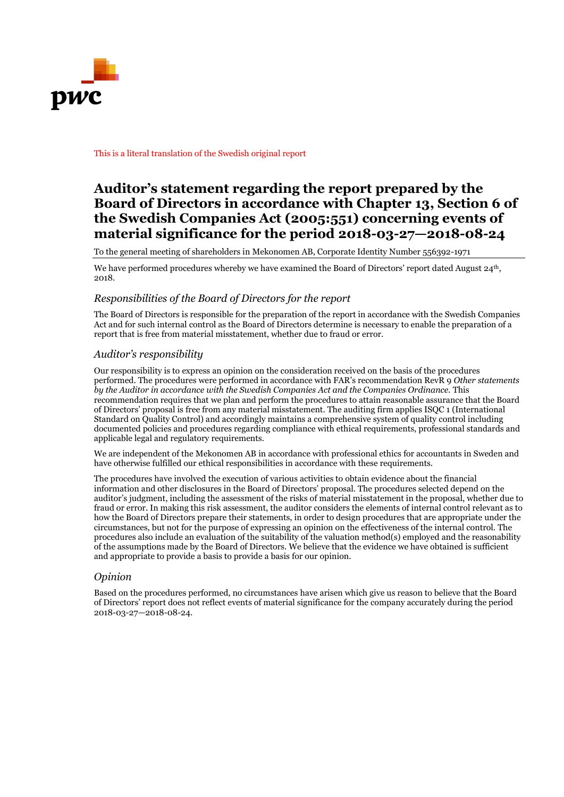

#### This is a literal translation of the Swedish original report

# **Auditor's statement regarding the report prepared by the Board of Directors in accordance with Chapter 13, Section 6 of the Swedish Companies Act (2005:551) concerning events of material significance for the period 2018-03-27—2018-08-24**

To the general meeting of shareholders in Mekonomen AB, Corporate Identity Number 556392-1971

We have performed procedures whereby we have examined the Board of Directors' report dated August  $24<sup>th</sup>$ , 2018.

#### *Responsibilities of the Board of Directors for the report*

The Board of Directors is responsible for the preparation of the report in accordance with the Swedish Companies Act and for such internal control as the Board of Directors determine is necessary to enable the preparation of a report that is free from material misstatement, whether due to fraud or error.

### *Auditor's responsibility*

Our responsibility is to express an opinion on the consideration received on the basis of the procedures performed. The procedures were performed in accordance with FAR's recommendation RevR 9 *Other statements by the Auditor in accordance with the Swedish Companies Act and the Companies Ordinance.* This recommendation requires that we plan and perform the procedures to attain reasonable assurance that the Board of Directors' proposal is free from any material misstatement. The auditing firm applies ISQC 1 (International Standard on Quality Control) and accordingly maintains a comprehensive system of quality control including documented policies and procedures regarding compliance with ethical requirements, professional standards and applicable legal and regulatory requirements.

We are independent of the Mekonomen AB in accordance with professional ethics for accountants in Sweden and have otherwise fulfilled our ethical responsibilities in accordance with these requirements.

The procedures have involved the execution of various activities to obtain evidence about the financial information and other disclosures in the Board of Directors' proposal. The procedures selected depend on the auditor's judgment, including the assessment of the risks of material misstatement in the proposal, whether due to fraud or error. In making this risk assessment, the auditor considers the elements of internal control relevant as to how the Board of Directors prepare their statements, in order to design procedures that are appropriate under the circumstances, but not for the purpose of expressing an opinion on the effectiveness of the internal control. The procedures also include an evaluation of the suitability of the valuation method(s) employed and the reasonability of the assumptions made by the Board of Directors. We believe that the evidence we have obtained is sufficient and appropriate to provide a basis to provide a basis for our opinion.

### *Opinion*

Based on the procedures performed, no circumstances have arisen which give us reason to believe that the Board of Directors' report does not reflect events of material significance for the company accurately during the period 2018-03-27—2018-08-24.